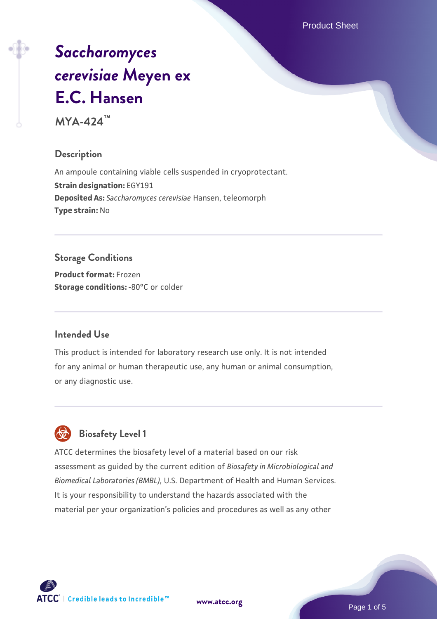Product Sheet

# *[Saccharomyces](https://www.atcc.org/products/mya-424) [cerevisiae](https://www.atcc.org/products/mya-424)* **[Meyen ex](https://www.atcc.org/products/mya-424) [E.C. Hansen](https://www.atcc.org/products/mya-424)**

**MYA-424™**

# **Description**

An ampoule containing viable cells suspended in cryoprotectant. **Strain designation:** EGY191 **Deposited As:** *Saccharomyces cerevisiae* Hansen, teleomorph **Type strain:** No

# **Storage Conditions**

**Product format:** Frozen **Storage conditions: -80°C** or colder

# **Intended Use**

This product is intended for laboratory research use only. It is not intended for any animal or human therapeutic use, any human or animal consumption, or any diagnostic use.



# **Biosafety Level 1**

ATCC determines the biosafety level of a material based on our risk assessment as guided by the current edition of *Biosafety in Microbiological and Biomedical Laboratories (BMBL)*, U.S. Department of Health and Human Services. It is your responsibility to understand the hazards associated with the material per your organization's policies and procedures as well as any other

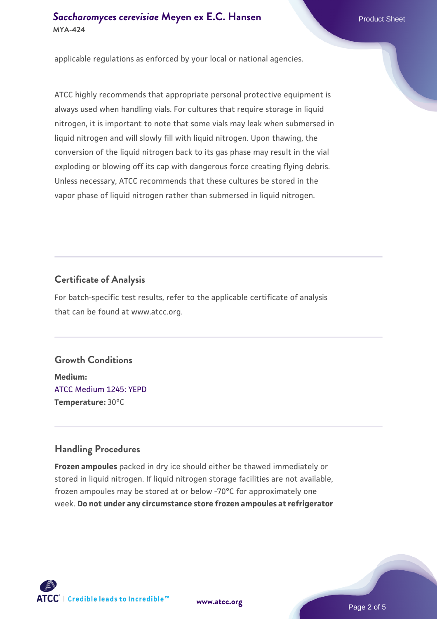# **[Saccharomyces cerevisiae](https://www.atcc.org/products/mya-424)** [Meyen ex E.C. Hansen](https://www.atcc.org/products/mya-424) **MYA-424**

applicable regulations as enforced by your local or national agencies.

ATCC highly recommends that appropriate personal protective equipment is always used when handling vials. For cultures that require storage in liquid nitrogen, it is important to note that some vials may leak when submersed in liquid nitrogen and will slowly fill with liquid nitrogen. Upon thawing, the conversion of the liquid nitrogen back to its gas phase may result in the vial exploding or blowing off its cap with dangerous force creating flying debris. Unless necessary, ATCC recommends that these cultures be stored in the vapor phase of liquid nitrogen rather than submersed in liquid nitrogen.

## **Certificate of Analysis**

For batch-specific test results, refer to the applicable certificate of analysis that can be found at www.atcc.org.

## **Growth Conditions**

**Medium:**  [ATCC Medium 1245: YEPD](https://www.atcc.org/-/media/product-assets/documents/microbial-media-formulations/1/2/4/5/atcc-medium-1245.pdf?rev=705ca55d1b6f490a808a965d5c072196) **Temperature:** 30°C

## **Handling Procedures**

**Frozen ampoules** packed in dry ice should either be thawed immediately or stored in liquid nitrogen. If liquid nitrogen storage facilities are not available, frozen ampoules may be stored at or below -70°C for approximately one week. **Do not under any circumstance store frozen ampoules at refrigerator**

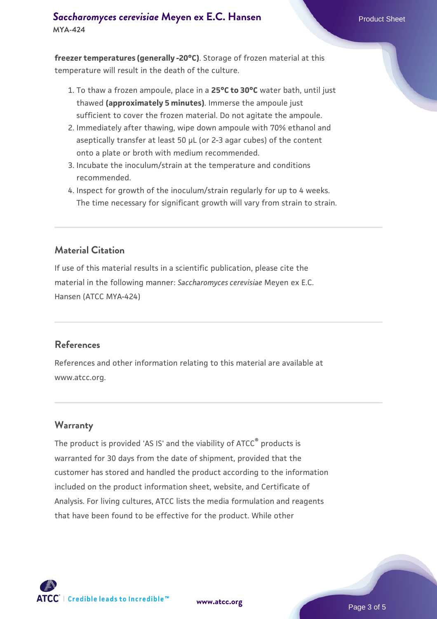# **[Saccharomyces cerevisiae](https://www.atcc.org/products/mya-424)** [Meyen ex E.C. Hansen](https://www.atcc.org/products/mya-424) **MYA-424**

**freezer temperatures (generally -20°C)**. Storage of frozen material at this temperature will result in the death of the culture.

- 1. To thaw a frozen ampoule, place in a **25°C to 30°C** water bath, until just thawed **(approximately 5 minutes)**. Immerse the ampoule just sufficient to cover the frozen material. Do not agitate the ampoule.
- 2. Immediately after thawing, wipe down ampoule with 70% ethanol and aseptically transfer at least 50 µL (or 2-3 agar cubes) of the content onto a plate or broth with medium recommended.
- 3. Incubate the inoculum/strain at the temperature and conditions recommended.
- 4. Inspect for growth of the inoculum/strain regularly for up to 4 weeks. The time necessary for significant growth will vary from strain to strain.

# **Material Citation**

If use of this material results in a scientific publication, please cite the material in the following manner: *Saccharomyces cerevisiae* Meyen ex E.C. Hansen (ATCC MYA-424)

## **References**

References and other information relating to this material are available at www.atcc.org.

## **Warranty**

The product is provided 'AS IS' and the viability of ATCC<sup>®</sup> products is warranted for 30 days from the date of shipment, provided that the customer has stored and handled the product according to the information included on the product information sheet, website, and Certificate of Analysis. For living cultures, ATCC lists the media formulation and reagents that have been found to be effective for the product. While other

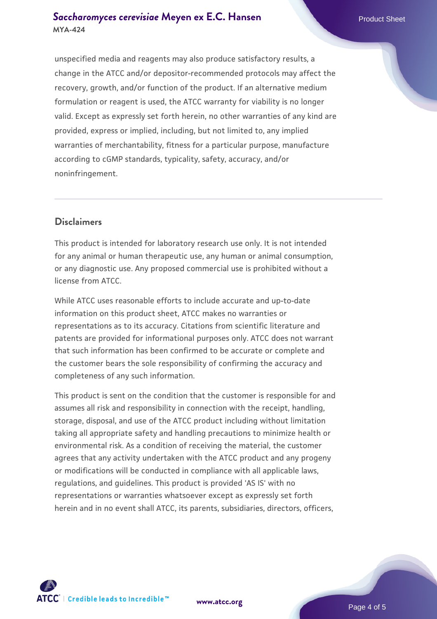# **[Saccharomyces cerevisiae](https://www.atcc.org/products/mya-424)** [Meyen ex E.C. Hansen](https://www.atcc.org/products/mya-424) **MYA-424**

unspecified media and reagents may also produce satisfactory results, a change in the ATCC and/or depositor-recommended protocols may affect the recovery, growth, and/or function of the product. If an alternative medium formulation or reagent is used, the ATCC warranty for viability is no longer valid. Except as expressly set forth herein, no other warranties of any kind are provided, express or implied, including, but not limited to, any implied warranties of merchantability, fitness for a particular purpose, manufacture according to cGMP standards, typicality, safety, accuracy, and/or noninfringement.

# **Disclaimers**

This product is intended for laboratory research use only. It is not intended for any animal or human therapeutic use, any human or animal consumption, or any diagnostic use. Any proposed commercial use is prohibited without a license from ATCC.

While ATCC uses reasonable efforts to include accurate and up-to-date information on this product sheet, ATCC makes no warranties or representations as to its accuracy. Citations from scientific literature and patents are provided for informational purposes only. ATCC does not warrant that such information has been confirmed to be accurate or complete and the customer bears the sole responsibility of confirming the accuracy and completeness of any such information.

This product is sent on the condition that the customer is responsible for and assumes all risk and responsibility in connection with the receipt, handling, storage, disposal, and use of the ATCC product including without limitation taking all appropriate safety and handling precautions to minimize health or environmental risk. As a condition of receiving the material, the customer agrees that any activity undertaken with the ATCC product and any progeny or modifications will be conducted in compliance with all applicable laws, regulations, and guidelines. This product is provided 'AS IS' with no representations or warranties whatsoever except as expressly set forth herein and in no event shall ATCC, its parents, subsidiaries, directors, officers,